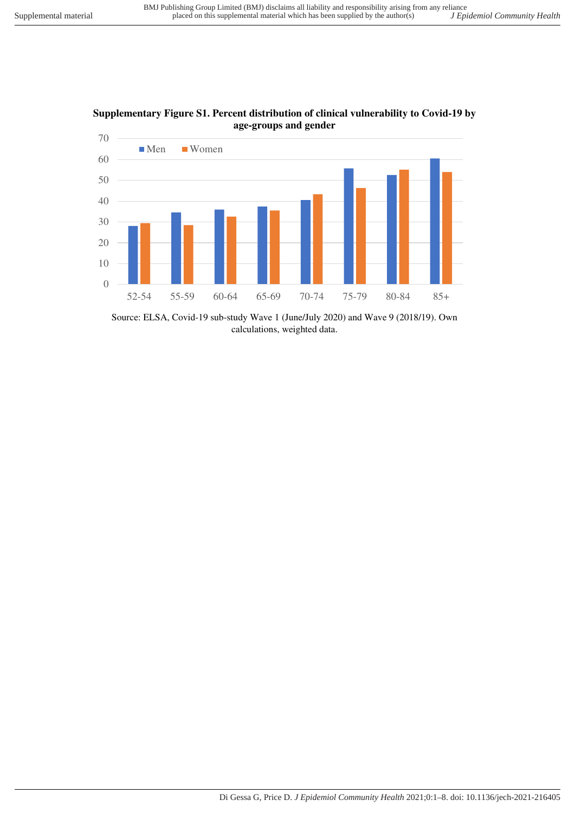

**Supplementary Figure S1. Percent distribution of clinical vulnerability to Covid-19 by age-groups and gender** 

Source: ELSA, Covid-19 sub-study Wave 1 (June/July 2020) and Wave 9 (2018/19). Own calculations, weighted data.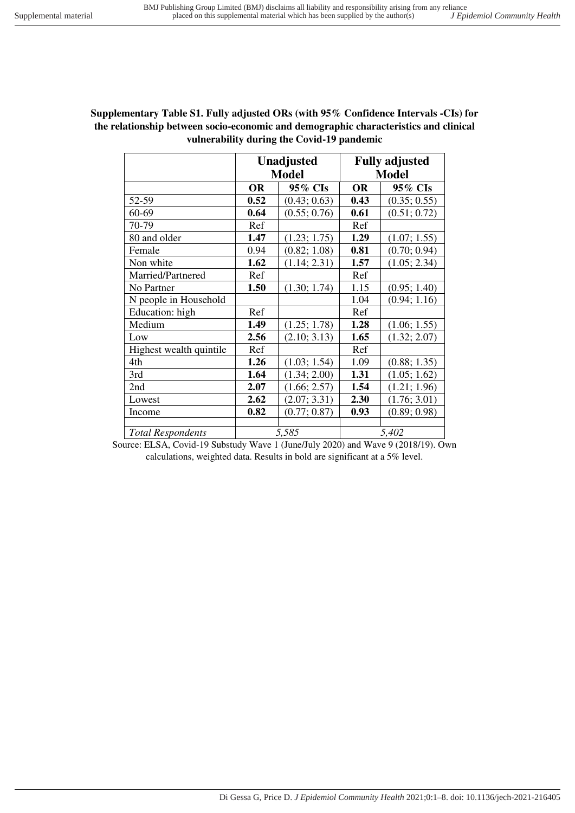| Supplementary Table S1. Fully adjusted ORs (with 95% Confidence Intervals -CIs) for  |
|--------------------------------------------------------------------------------------|
| the relationship between socio-economic and demographic characteristics and clinical |
| vulnerability during the Covid-19 pandemic                                           |

|                          |           | <b>Unadjusted</b> | <b>Fully adjusted</b> |              |  |
|--------------------------|-----------|-------------------|-----------------------|--------------|--|
|                          |           | <b>Model</b>      | <b>Model</b>          |              |  |
|                          | <b>OR</b> | 95% CIs           | <b>OR</b>             | 95% CIs      |  |
| 52-59                    | 0.52      | (0.43; 0.63)      | 0.43                  | (0.35; 0.55) |  |
| 60-69                    | 0.64      | (0.55; 0.76)      | 0.61                  | (0.51; 0.72) |  |
| 70-79                    | Ref       |                   | Ref                   |              |  |
| 80 and older             | 1.47      | (1.23; 1.75)      | 1.29                  | (1.07; 1.55) |  |
| Female                   | 0.94      | (0.82; 1.08)      | 0.81                  | (0.70; 0.94) |  |
| Non white                | 1.62      | (1.14; 2.31)      | 1.57                  | (1.05; 2.34) |  |
| Married/Partnered        | Ref       |                   | Ref                   |              |  |
| No Partner               | 1.50      | (1.30; 1.74)      | 1.15                  | (0.95; 1.40) |  |
| N people in Household    |           |                   | 1.04                  | (0.94; 1.16) |  |
| Education: high          | Ref       |                   | Ref                   |              |  |
| Medium                   | 1.49      | (1.25; 1.78)      | 1.28                  | (1.06; 1.55) |  |
| Low                      | 2.56      | (2.10; 3.13)      | 1.65                  | (1.32; 2.07) |  |
| Highest wealth quintile  | Ref       |                   | Ref                   |              |  |
| 4th                      | 1.26      | (1.03; 1.54)      | 1.09                  | (0.88; 1.35) |  |
| 3rd                      | 1.64      | (1.34; 2.00)      | 1.31                  | (1.05; 1.62) |  |
| 2nd                      | 2.07      | (1.66; 2.57)      | 1.54                  | (1.21; 1.96) |  |
| Lowest                   | 2.62      | (2.07; 3.31)      | 2.30                  | (1.76; 3.01) |  |
| Income                   | 0.82      | (0.77; 0.87)      | 0.93                  | (0.89; 0.98) |  |
|                          |           |                   |                       |              |  |
| <b>Total Respondents</b> | 5,585     |                   | 5,402                 |              |  |

Source: ELSA, Covid-19 Substudy Wave 1 (June/July 2020) and Wave 9 (2018/19). Own calculations, weighted data. Results in bold are significant at a 5% level.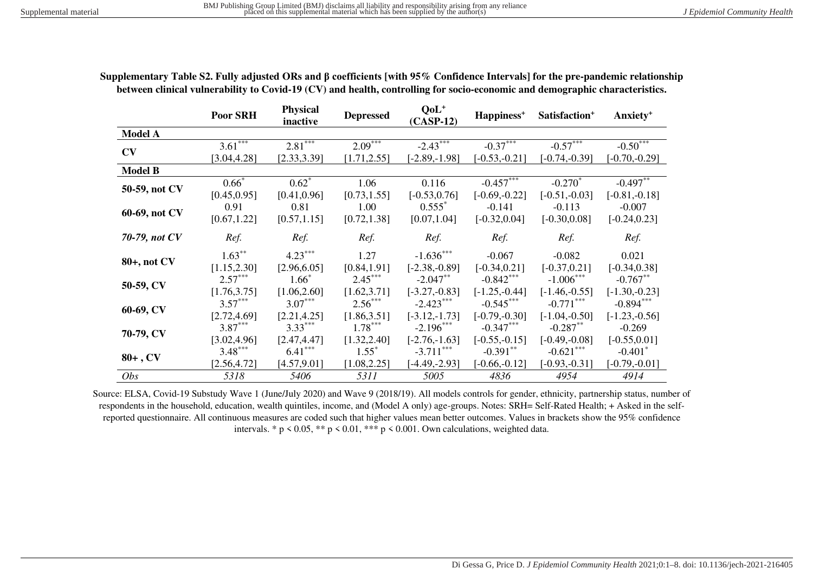|                | <b>Poor SRH</b> | <b>Physical</b><br>inactive | <b>Depressed</b> | $QoL+$<br>$(CASP-12)$ | Happiness <sup>+</sup> | Satisfaction <sup>+</sup> | Anxiety <sup>+</sup> |
|----------------|-----------------|-----------------------------|------------------|-----------------------|------------------------|---------------------------|----------------------|
| <b>Model A</b> |                 |                             |                  |                       |                        |                           |                      |
|                | $3.61***$       | $2.81$ <sup>***</sup>       | $2.09***$        | $-2.43***$            | $-0.37***$             | $-0.57***$                | $-0.50***$           |
| CV             | [3.04, 4.28]    | [2.33, 3.39]                | [1.71, 2.55]     | $[-2.89, -1.98]$      | $[-0.53,-0.21]$        | $[-0.74,-0.39]$           | $[-0.70,-0.29]$      |
| <b>Model B</b> |                 |                             |                  |                       |                        |                           |                      |
| 50-59, not CV  | $0.66*$         | $0.62^*$                    | 1.06             | 0.116                 | $-0.457***$            | $-0.270*$                 | $-0.497***$          |
|                | [0.45, 0.95]    | [0.41, 0.96]                | [0.73, 1.55]     | $[-0.53, 0.76]$       | $[-0.69,-0.22]$        | $[-0.51,-0.03]$           | $[-0.81,-0.18]$      |
|                | 0.91            | 0.81                        | 1.00             | $0.555*$              | $-0.141$               | $-0.113$                  | $-0.007$             |
| 60-69, not CV  | [0.67, 1.22]    | [0.57, 1.15]                | [0.72, 1.38]     | [0.07, 1.04]          | $[-0.32, 0.04]$        | $[-0.30, 0.08]$           | $[-0.24, 0.23]$      |
| 70-79, not CV  | Ref.            | Ref.                        | Ref.             | Ref.                  | Ref.                   | Ref.                      | Ref.                 |
|                | $1.63***$       | $4.23***$                   | 1.27             | $-1.636***$           | $-0.067$               | $-0.082$                  | 0.021                |
| 80+, not CV    | [1.15, 2.30]    | [2.96, 6.05]                | [0.84, 1.91]     | $[-2.38,-0.89]$       | $[-0.34, 0.21]$        | $[-0.37, 0.21]$           | $[-0.34, 0.38]$      |
|                | $2.57***$       | $1.66*$                     | $2.45***$        | $-2.047**$            | $-0.842***$            | $-1.006***$               | $-0.767**$           |
| 50-59, CV      | [1.76, 3.75]    | [1.06, 2.60]                | [1.62, 3.71]     | $[-3.27,-0.83]$       | $[-1.25, -0.44]$       | $[-1.46,-0.55]$           | $[-1.30,-0.23]$      |
|                | $3.57***$       | $3.07***$                   | $2.56***$        | $-2.423***$           | $-0.545***$            | $-0.771$ ***              | $-0.894***$          |
| 60-69, CV      | [2.72, 4.69]    | [2.21, 4.25]                | [1.86, 3.51]     | $[-3.12,-1.73]$       | $[-0.79,-0.30]$        | $[-1.04, -0.50]$          | $[-1.23,-0.56]$      |
| 70-79, CV      | $3.87***$       | $3.33***$                   | $1.78***$        | $-2.196***$           | $-0.347***$            | $-0.287**$                | $-0.269$             |
|                | [3.02, 4.96]    | [2.47, 4.47]                | [1.32, 2.40]     | $[-2.76,-1.63]$       | $[-0.55,-0.15]$        | $[-0.49,-0.08]$           | $[-0.55, 0.01]$      |
| $80+$ , CV     | $3.48***$       | $6.41***$                   | $1.55^*$         | $-3.711***$           | $-0.391**$             | $-0.621***$               | $-0.401*$            |
|                | [2.56, 4.72]    | [4.57, 9.01]                | [1.08, 2.25]     | $[-4.49,-2.93]$       | $[-0.66, -0.12]$       | $[-0.93,-0.31]$           | $[-0.79,-0.01]$      |
| Obs            | 5318            | 5406                        | 5311             | 5005                  | 4836                   | 4954                      | 4914                 |

**Supplementary Table S2. Fully adjusted ORs and β coefficients [with 95% Confidence Intervals] for the pre-pandemic relationship between clinical vulnerability to Covid-19 (CV) and health, controlling for socio-economic and demographic characteristics.** 

Source: ELSA, Covid-19 Substudy Wave 1 (June/July 2020) and Wave 9 (2018/19). All models controls for gender, ethnicity, partnership status, number of respondents in the household, education, wealth quintiles, income, and (Model A only) age-groups. Notes: SRH= Self-Rated Health; + Asked in the selfreported questionnaire. All continuous measures are coded such that higher values mean better outcomes. Values in brackets show the 95% confidence intervals. \*  $p \le 0.05$ , \*\*  $p \le 0.01$ , \*\*\*  $p \le 0.001$ . Own calculations, weighted data.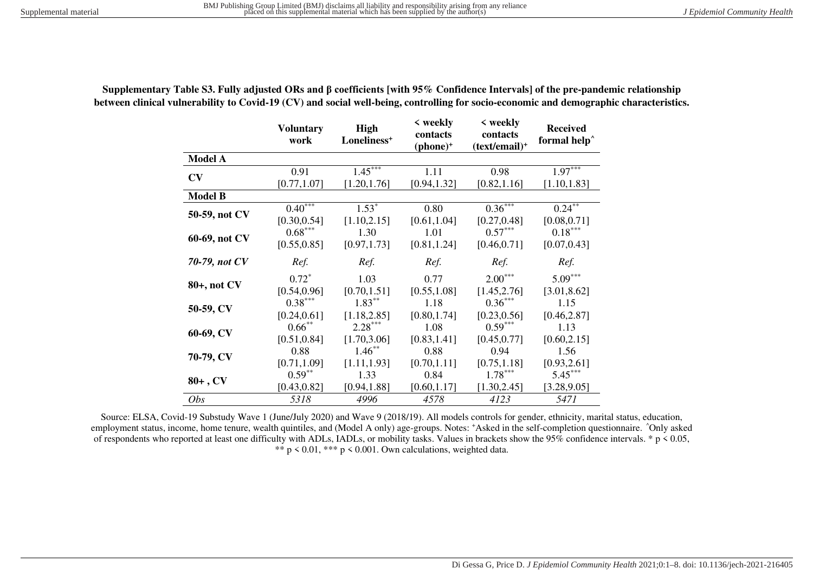|                | <b>Voluntary</b><br>work  | <b>High</b><br>Loneliness <sup>+</sup> | < weekly<br>contacts<br>$(phone)^+$ | $\langle$ weekly<br>contacts<br>$(text/email)^+$ | <b>Received</b><br>formal help <sup>^</sup> |
|----------------|---------------------------|----------------------------------------|-------------------------------------|--------------------------------------------------|---------------------------------------------|
| <b>Model A</b> |                           |                                        |                                     |                                                  |                                             |
| CV             | 0.91                      | $1.45***$                              | 1.11                                | 0.98                                             | $1.97***$                                   |
|                | [0.77, 1.07]              | [1.20, 1.76]                           | [0.94, 1.32]                        | [0.82, 1.16]                                     | [1.10, 1.83]                                |
| <b>Model B</b> |                           |                                        |                                     |                                                  |                                             |
| 50-59, not CV  | $0.40^{***}$              | $1.53*$                                | 0.80                                | $0.36***$                                        | $0.24$ <sup>**</sup>                        |
|                | [0.30, 0.54]              | [1.10, 2.15]                           | [0.61, 1.04]                        | [0.27, 0.48]                                     | [0.08, 0.71]                                |
| 60-69, not CV  | $0.68***$                 | 1.30                                   | 1.01                                | $0.57***$                                        | $0.18***$                                   |
|                | [0.55, 0.85]              | [0.97, 1.73]                           | [0.81, 1.24]                        | [0.46, 0.71]                                     | [0.07, 0.43]                                |
| 70-79, not CV  | Ref.                      | Ref.                                   | Ref.                                | Ref.                                             | Ref.                                        |
| 80+, not CV    | $0.72^*$<br>[0.54, 0.96]  | 1.03<br>[0.70, 1.51]                   | 0.77<br>[0.55, 1.08]                | $2.00***$<br>[1.45, 2.76]                        | $5.09***$<br>[3.01, 8.62]                   |
| 50-59, CV      | $0.38***$<br>[0.24, 0.61] | $1.83***$<br>[1.18, 2.85]              | 1.18<br>[0.80, 1.74]                | $0.36***$<br>[0.23, 0.56]                        | 1.15<br>[0.46, 2.87]                        |
| 60-69, CV      | $0.66***$<br>[0.51, 0.84] | $2.28***$<br>[1.70, 3.06]              | 1.08<br>[0.83, 1.41]                | $0.59***$<br>[0.45, 0.77]                        | 1.13<br>[0.60, 2.15]                        |
| 70-79, CV      | 0.88<br>[0.71, 1.09]      | $1.46***$<br>[1.11, 1.93]              | 0.88<br>[0.70, 1.11]                | 0.94<br>[0.75, 1.18]                             | 1.56<br>[0.93, 2.61]                        |
| $80+$ , CV     | $0.59***$                 | 1.33                                   | 0.84                                | $1.78***$                                        | $5.45***$                                   |
|                | [0.43, 0.82]              | [0.94, 1.88]                           | [0.60, 1.17]                        | [1.30, 2.45]                                     | [3.28, 9.05]                                |
| <i>Obs</i>     | 5318                      | 4996                                   | 4578                                | 4123                                             | 5471                                        |

**Supplementary Table S3. Fully adjusted ORs and β coefficients [with 95% Confidence Intervals] of the pre-pandemic relationship between clinical vulnerability to Covid-19 (CV) and social well-being, controlling for socio-economic and demographic characteristics.** 

Source: ELSA, Covid-19 Substudy Wave 1 (June/July 2020) and Wave 9 (2018/19). All models controls for gender, ethnicity, marital status, education, employment status, income, home tenure, wealth quintiles, and (Model A only) age-groups. Notes: \*Asked in the self-completion questionnaire. ^Only asked of respondents who reported at least one difficulty with ADLs, IADLs, or mobility tasks. Values in brackets show the 95% confidence intervals. \* p < 0.05, \*\*  $p \le 0.01$ , \*\*\*  $p \le 0.001$ . Own calculations, weighted data.